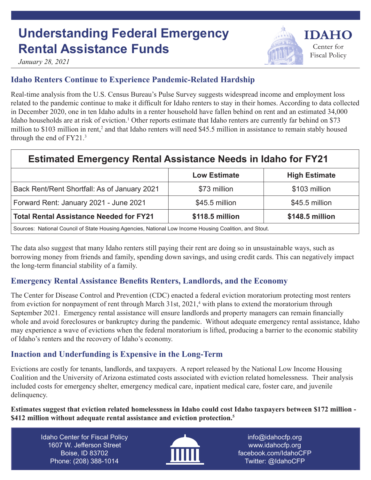# **Understanding Federal Emergency Rental Assistance Funds**



*January 28, 2021*

### **Idaho Renters Continue to Experience Pandemic-Related Hardship**

Real-time analysis from the U.S. Census Bureau's Pulse Survey suggests widespread income and employment loss related to the pandemic continue to make it difficult for Idaho renters to stay in their homes. According to data collected in December 2020, one in ten Idaho adults in a renter household have fallen behind on rent and an estimated 34,000 Idaho households are at risk of eviction.<sup>1</sup> Other reports estimate that Idaho renters are currently far behind on \$73 million to \$103 million in rent,<sup>2</sup> and that Idaho renters will need \$45.5 million in assistance to remain stably housed through the end of FY21.<sup>3</sup>

## **Estimated Emergency Rental Assistance Needs in Idaho for FY21**

|                                                                                                        | <b>Low Estimate</b> | <b>High Estimate</b> |
|--------------------------------------------------------------------------------------------------------|---------------------|----------------------|
| Back Rent/Rent Shortfall: As of January 2021                                                           | \$73 million        | \$103 million        |
| Forward Rent: January 2021 - June 2021                                                                 | \$45.5 million      | \$45.5 million       |
| <b>Total Rental Assistance Needed for FY21</b>                                                         | \$118.5 million     | \$148.5 million      |
| Sources: National Council of State Housing Agencies, National Low Income Housing Coalition, and Stout. |                     |                      |

The data also suggest that many Idaho renters still paying their rent are doing so in unsustainable ways, such as borrowing money from friends and family, spending down savings, and using credit cards. This can negatively impact the long-term financial stability of a family.

#### **Emergency Rental Assistance Benefits Renters, Landlords, and the Economy**

The Center for Disease Control and Prevention (CDC) enacted a federal eviction moratorium protecting most renters from eviction for nonpayment of rent through March 31st, 2021,<sup>4</sup> with plans to extend the moratorium through September 2021. Emergency rental assistance will ensure landlords and property managers can remain financially whole and avoid foreclosures or bankruptcy during the pandemic. Without adequate emergency rental assistance, Idaho may experience a wave of evictions when the federal moratorium is lifted, producing a barrier to the economic stability of Idaho's renters and the recovery of Idaho's economy.

#### **Inaction and Underfunding is Expensive in the Long-Term**

Evictions are costly for tenants, landlords, and taxpayers. A report released by the National Low Income Housing Coalition and the University of Arizona estimated costs associated with eviction related homelessness. Their analysis included costs for emergency shelter, emergency medical care, inpatient medical care, foster care, and juvenile delinquency.

**Estimates suggest that eviction related homelessness in Idaho could cost Idaho taxpayers between \$172 million - \$412 million without adequate rental assistance and eviction protection.5**

Idaho Center for Fiscal Policy 1607 W. Jefferson Street Boise, ID 83702 Phone: (208) 388-1014



info@idahocfp.org www.idahocfp.org facebook.com/IdahoCFP Twitter: @IdahoCFP